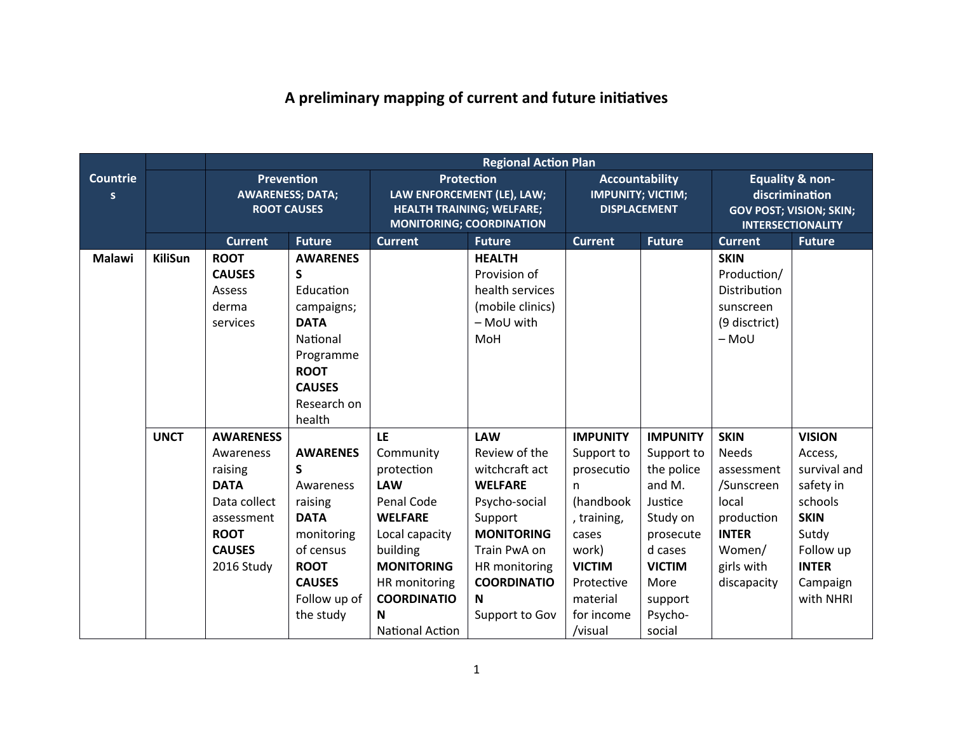## A preliminary mapping of current and future initiatives

|                       |                |                                                                                                                                     |                                                                                                                                                     |                                                                                                                                                                            | <b>Regional Action Plan</b>                                                                                                                                                                    |                                                                                                                                                          |                                                                                                                                                     |                                                                                                                                |                                                                                                                                                |
|-----------------------|----------------|-------------------------------------------------------------------------------------------------------------------------------------|-----------------------------------------------------------------------------------------------------------------------------------------------------|----------------------------------------------------------------------------------------------------------------------------------------------------------------------------|------------------------------------------------------------------------------------------------------------------------------------------------------------------------------------------------|----------------------------------------------------------------------------------------------------------------------------------------------------------|-----------------------------------------------------------------------------------------------------------------------------------------------------|--------------------------------------------------------------------------------------------------------------------------------|------------------------------------------------------------------------------------------------------------------------------------------------|
| <b>Countrie</b><br>s. |                | <b>Prevention</b><br><b>AWARENESS; DATA;</b><br><b>ROOT CAUSES</b>                                                                  |                                                                                                                                                     | <b>Protection</b><br>LAW ENFORCEMENT (LE), LAW;<br><b>HEALTH TRAINING; WELFARE;</b><br><b>MONITORING; COORDINATION</b>                                                     |                                                                                                                                                                                                | <b>Accountability</b><br><b>IMPUNITY; VICTIM;</b><br><b>DISPLACEMENT</b>                                                                                 |                                                                                                                                                     | <b>Equality &amp; non-</b><br>discrimination<br><b>GOV POST; VISION; SKIN;</b><br><b>INTERSECTIONALITY</b>                     |                                                                                                                                                |
|                       |                | <b>Current</b>                                                                                                                      | <b>Future</b>                                                                                                                                       | <b>Current</b>                                                                                                                                                             | <b>Future</b>                                                                                                                                                                                  | <b>Current</b>                                                                                                                                           | <b>Future</b>                                                                                                                                       | <b>Current</b>                                                                                                                 | <b>Future</b>                                                                                                                                  |
| <b>Malawi</b>         | <b>KiliSun</b> | <b>ROOT</b><br><b>CAUSES</b><br>Assess<br>derma<br>services                                                                         | <b>AWARENES</b><br>S<br>Education<br>campaigns;<br><b>DATA</b><br>National<br>Programme<br><b>ROOT</b><br><b>CAUSES</b><br>Research on<br>health    |                                                                                                                                                                            | <b>HEALTH</b><br>Provision of<br>health services<br>(mobile clinics)<br>- MoU with<br>MoH                                                                                                      |                                                                                                                                                          |                                                                                                                                                     | <b>SKIN</b><br>Production/<br>Distribution<br>sunscreen<br>(9 disctrict)<br>$-MoU$                                             |                                                                                                                                                |
|                       | <b>UNCT</b>    | <b>AWARENESS</b><br>Awareness<br>raising<br><b>DATA</b><br>Data collect<br>assessment<br><b>ROOT</b><br><b>CAUSES</b><br>2016 Study | <b>AWARENES</b><br>S<br>Awareness<br>raising<br><b>DATA</b><br>monitoring<br>of census<br><b>ROOT</b><br><b>CAUSES</b><br>Follow up of<br>the study | LE<br>Community<br>protection<br><b>LAW</b><br>Penal Code<br><b>WELFARE</b><br>Local capacity<br>building<br><b>MONITORING</b><br>HR monitoring<br><b>COORDINATIO</b><br>N | <b>LAW</b><br>Review of the<br>witchcraft act<br><b>WELFARE</b><br>Psycho-social<br>Support<br><b>MONITORING</b><br>Train PwA on<br>HR monitoring<br><b>COORDINATIO</b><br>N<br>Support to Gov | <b>IMPUNITY</b><br>Support to<br>prosecutio<br>n.<br>(handbook<br>, training,<br>cases<br>work)<br><b>VICTIM</b><br>Protective<br>material<br>for income | <b>IMPUNITY</b><br>Support to<br>the police<br>and M.<br>Justice<br>Study on<br>prosecute<br>d cases<br><b>VICTIM</b><br>More<br>support<br>Psycho- | <b>SKIN</b><br>Needs<br>assessment<br>/Sunscreen<br>local<br>production<br><b>INTER</b><br>Women/<br>girls with<br>discapacity | <b>VISION</b><br>Access,<br>survival and<br>safety in<br>schools<br><b>SKIN</b><br>Sutdy<br>Follow up<br><b>INTER</b><br>Campaign<br>with NHRI |
|                       |                |                                                                                                                                     |                                                                                                                                                     | National Action                                                                                                                                                            |                                                                                                                                                                                                | /visual                                                                                                                                                  | social                                                                                                                                              |                                                                                                                                |                                                                                                                                                |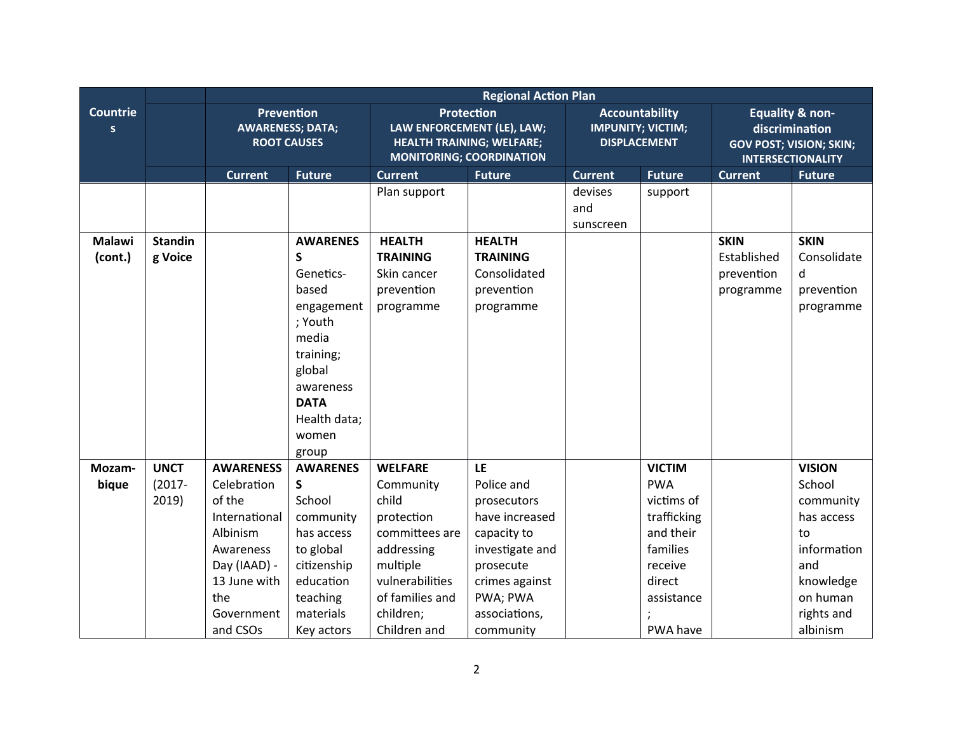|                       |                | <b>Regional Action Plan</b>                                 |                 |                                                                                                                        |                 |                                                                          |               |                                                                                                            |               |
|-----------------------|----------------|-------------------------------------------------------------|-----------------|------------------------------------------------------------------------------------------------------------------------|-----------------|--------------------------------------------------------------------------|---------------|------------------------------------------------------------------------------------------------------------|---------------|
| <b>Countrie</b><br>s. |                | Prevention<br><b>AWARENESS; DATA;</b><br><b>ROOT CAUSES</b> |                 | <b>Protection</b><br>LAW ENFORCEMENT (LE), LAW;<br><b>HEALTH TRAINING; WELFARE;</b><br><b>MONITORING; COORDINATION</b> |                 | <b>Accountability</b><br><b>IMPUNITY; VICTIM;</b><br><b>DISPLACEMENT</b> |               | <b>Equality &amp; non-</b><br>discrimination<br><b>GOV POST; VISION; SKIN;</b><br><b>INTERSECTIONALITY</b> |               |
|                       |                | <b>Current</b>                                              | <b>Future</b>   | <b>Current</b>                                                                                                         | <b>Future</b>   | <b>Current</b>                                                           | <b>Future</b> | <b>Current</b>                                                                                             | <b>Future</b> |
|                       |                |                                                             |                 | Plan support                                                                                                           |                 | devises<br>and<br>sunscreen                                              | support       |                                                                                                            |               |
| <b>Malawi</b>         | <b>Standin</b> |                                                             | <b>AWARENES</b> | <b>HEALTH</b>                                                                                                          | <b>HEALTH</b>   |                                                                          |               | <b>SKIN</b>                                                                                                | <b>SKIN</b>   |
| (cont.)               | g Voice        |                                                             | S               | <b>TRAINING</b>                                                                                                        | <b>TRAINING</b> |                                                                          |               | Established                                                                                                | Consolidate   |
|                       |                |                                                             | Genetics-       | Skin cancer                                                                                                            | Consolidated    |                                                                          |               | prevention                                                                                                 | d             |
|                       |                |                                                             | based           | prevention                                                                                                             | prevention      |                                                                          |               | programme                                                                                                  | prevention    |
|                       |                |                                                             | engagement      | programme                                                                                                              | programme       |                                                                          |               |                                                                                                            | programme     |
|                       |                |                                                             | ; Youth         |                                                                                                                        |                 |                                                                          |               |                                                                                                            |               |
|                       |                |                                                             | media           |                                                                                                                        |                 |                                                                          |               |                                                                                                            |               |
|                       |                |                                                             | training;       |                                                                                                                        |                 |                                                                          |               |                                                                                                            |               |
|                       |                |                                                             | global          |                                                                                                                        |                 |                                                                          |               |                                                                                                            |               |
|                       |                |                                                             | awareness       |                                                                                                                        |                 |                                                                          |               |                                                                                                            |               |
|                       |                |                                                             | <b>DATA</b>     |                                                                                                                        |                 |                                                                          |               |                                                                                                            |               |
|                       |                |                                                             | Health data;    |                                                                                                                        |                 |                                                                          |               |                                                                                                            |               |
|                       |                |                                                             | women           |                                                                                                                        |                 |                                                                          |               |                                                                                                            |               |
|                       |                |                                                             | group           |                                                                                                                        |                 |                                                                          |               |                                                                                                            |               |
| Mozam-                | <b>UNCT</b>    | <b>AWARENESS</b>                                            | <b>AWARENES</b> | <b>WELFARE</b>                                                                                                         | <b>LE</b>       |                                                                          | <b>VICTIM</b> |                                                                                                            | <b>VISION</b> |
| bique                 | $(2017 -$      | Celebration                                                 | S               | Community                                                                                                              | Police and      |                                                                          | <b>PWA</b>    |                                                                                                            | School        |
|                       | 2019)          | of the                                                      | School          | child                                                                                                                  | prosecutors     |                                                                          | victims of    |                                                                                                            | community     |
|                       |                | International                                               | community       | protection                                                                                                             | have increased  |                                                                          | trafficking   |                                                                                                            | has access    |
|                       |                | Albinism                                                    | has access      | committees are                                                                                                         | capacity to     |                                                                          | and their     |                                                                                                            | to            |
|                       |                | Awareness                                                   | to global       | addressing                                                                                                             | investigate and |                                                                          | families      |                                                                                                            | information   |
|                       |                | Day (IAAD) -                                                | citizenship     | multiple                                                                                                               | prosecute       |                                                                          | receive       |                                                                                                            | and           |
|                       |                | 13 June with                                                | education       | vulnerabilities                                                                                                        | crimes against  |                                                                          | direct        |                                                                                                            | knowledge     |
|                       |                | the                                                         | teaching        | of families and                                                                                                        | PWA; PWA        |                                                                          | assistance    |                                                                                                            | on human      |
|                       |                | Government                                                  | materials       | children;                                                                                                              | associations,   |                                                                          |               |                                                                                                            | rights and    |
|                       |                | and CSOs                                                    | Key actors      | Children and                                                                                                           | community       |                                                                          | PWA have      |                                                                                                            | albinism      |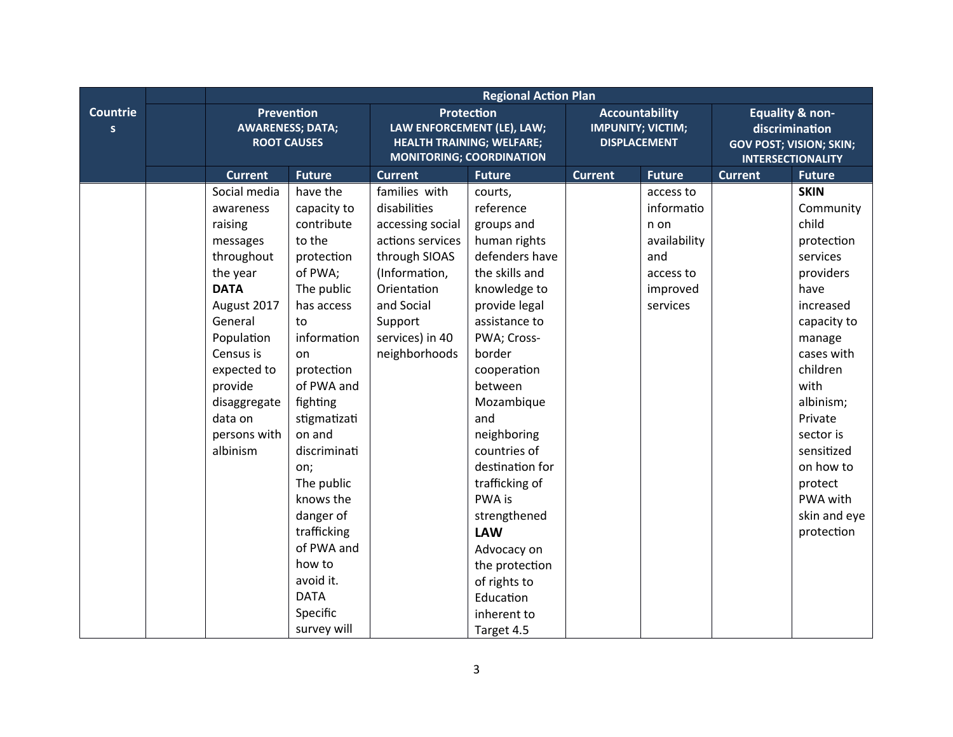|                                 |                                                                                                                                                                                                                                 | <b>Regional Action Plan</b>                                                                                                                                                                                                                                                                                                                                    |                                                                                                                                                                                     |                                                                                                                                                                                                                                                                                                                                                                                                                         |                |                                                                                             |                                                                                                            |                                                                                                                                                                                                                                                                               |  |
|---------------------------------|---------------------------------------------------------------------------------------------------------------------------------------------------------------------------------------------------------------------------------|----------------------------------------------------------------------------------------------------------------------------------------------------------------------------------------------------------------------------------------------------------------------------------------------------------------------------------------------------------------|-------------------------------------------------------------------------------------------------------------------------------------------------------------------------------------|-------------------------------------------------------------------------------------------------------------------------------------------------------------------------------------------------------------------------------------------------------------------------------------------------------------------------------------------------------------------------------------------------------------------------|----------------|---------------------------------------------------------------------------------------------|------------------------------------------------------------------------------------------------------------|-------------------------------------------------------------------------------------------------------------------------------------------------------------------------------------------------------------------------------------------------------------------------------|--|
| <b>Countrie</b><br>$\mathsf{s}$ |                                                                                                                                                                                                                                 | Prevention<br><b>AWARENESS; DATA;</b><br><b>ROOT CAUSES</b>                                                                                                                                                                                                                                                                                                    |                                                                                                                                                                                     | <b>Protection</b><br>LAW ENFORCEMENT (LE), LAW;<br><b>HEALTH TRAINING; WELFARE;</b><br><b>MONITORING; COORDINATION</b>                                                                                                                                                                                                                                                                                                  |                | <b>Accountability</b><br><b>IMPUNITY; VICTIM;</b><br><b>DISPLACEMENT</b>                    | <b>Equality &amp; non-</b><br>discrimination<br><b>GOV POST; VISION; SKIN;</b><br><b>INTERSECTIONALITY</b> |                                                                                                                                                                                                                                                                               |  |
|                                 | <b>Current</b>                                                                                                                                                                                                                  | <b>Future</b>                                                                                                                                                                                                                                                                                                                                                  | <b>Current</b>                                                                                                                                                                      | <b>Future</b>                                                                                                                                                                                                                                                                                                                                                                                                           | <b>Current</b> | <b>Future</b>                                                                               | <b>Current</b>                                                                                             | <b>Future</b>                                                                                                                                                                                                                                                                 |  |
|                                 | Social media<br>awareness<br>raising<br>messages<br>throughout<br>the year<br><b>DATA</b><br>August 2017<br>General<br>Population<br>Census is<br>expected to<br>provide<br>disaggregate<br>data on<br>persons with<br>albinism | have the<br>capacity to<br>contribute<br>to the<br>protection<br>of PWA;<br>The public<br>has access<br>to<br>information<br>on<br>protection<br>of PWA and<br>fighting<br>stigmatizati<br>on and<br>discriminati<br>on;<br>The public<br>knows the<br>danger of<br>trafficking<br>of PWA and<br>how to<br>avoid it.<br><b>DATA</b><br>Specific<br>survey will | families with<br>disabilities<br>accessing social<br>actions services<br>through SIOAS<br>(Information,<br>Orientation<br>and Social<br>Support<br>services) in 40<br>neighborhoods | courts,<br>reference<br>groups and<br>human rights<br>defenders have<br>the skills and<br>knowledge to<br>provide legal<br>assistance to<br>PWA; Cross-<br>border<br>cooperation<br>between<br>Mozambique<br>and<br>neighboring<br>countries of<br>destination for<br>trafficking of<br>PWA is<br>strengthened<br><b>LAW</b><br>Advocacy on<br>the protection<br>of rights to<br>Education<br>inherent to<br>Target 4.5 |                | access to<br>informatio<br>n on<br>availability<br>and<br>access to<br>improved<br>services |                                                                                                            | <b>SKIN</b><br>Community<br>child<br>protection<br>services<br>providers<br>have<br>increased<br>capacity to<br>manage<br>cases with<br>children<br>with<br>albinism;<br>Private<br>sector is<br>sensitized<br>on how to<br>protect<br>PWA with<br>skin and eye<br>protection |  |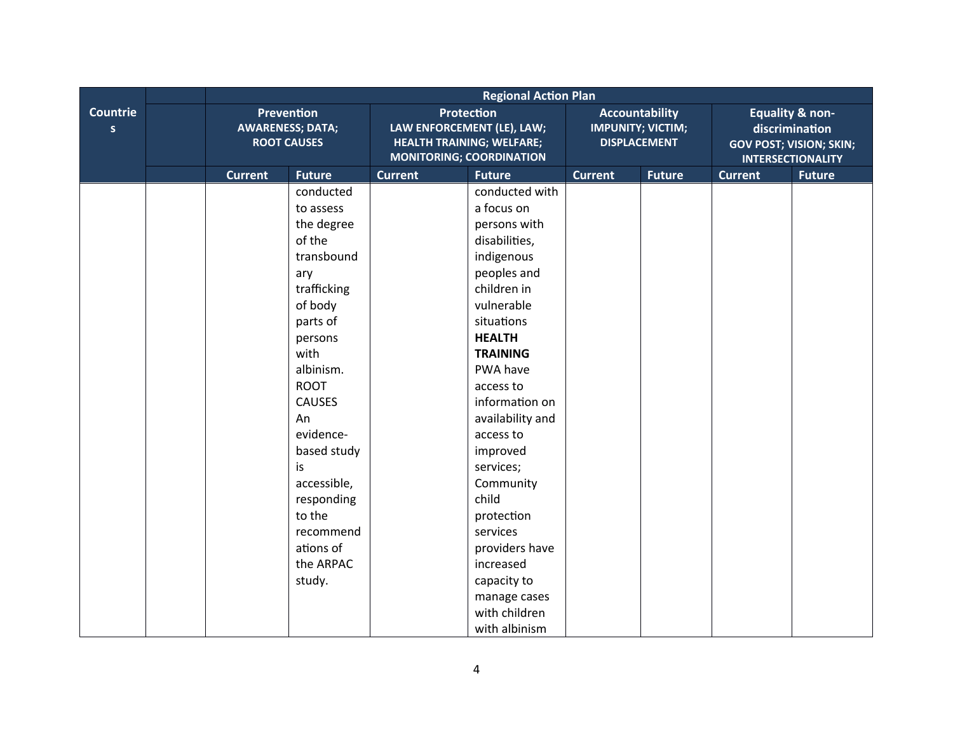|                      |                                                             |                                                                                                                                                                                                                                                                                                           |                                                                                                                        | <b>Regional Action Plan</b>                                                                                                                                                                                                                                                                                                                                                                                   |                                                                          |               |                                                                                                            |               |
|----------------------|-------------------------------------------------------------|-----------------------------------------------------------------------------------------------------------------------------------------------------------------------------------------------------------------------------------------------------------------------------------------------------------|------------------------------------------------------------------------------------------------------------------------|---------------------------------------------------------------------------------------------------------------------------------------------------------------------------------------------------------------------------------------------------------------------------------------------------------------------------------------------------------------------------------------------------------------|--------------------------------------------------------------------------|---------------|------------------------------------------------------------------------------------------------------------|---------------|
| <b>Countrie</b><br>S | Prevention<br><b>AWARENESS; DATA;</b><br><b>ROOT CAUSES</b> |                                                                                                                                                                                                                                                                                                           | <b>Protection</b><br>LAW ENFORCEMENT (LE), LAW;<br><b>HEALTH TRAINING; WELFARE;</b><br><b>MONITORING; COORDINATION</b> |                                                                                                                                                                                                                                                                                                                                                                                                               | <b>Accountability</b><br><b>IMPUNITY; VICTIM;</b><br><b>DISPLACEMENT</b> |               | <b>Equality &amp; non-</b><br>discrimination<br><b>GOV POST; VISION; SKIN;</b><br><b>INTERSECTIONALITY</b> |               |
|                      | <b>Current</b>                                              | <b>Future</b>                                                                                                                                                                                                                                                                                             | <b>Current</b>                                                                                                         | <b>Future</b>                                                                                                                                                                                                                                                                                                                                                                                                 | <b>Current</b>                                                           | <b>Future</b> | <b>Current</b>                                                                                             | <b>Future</b> |
|                      |                                                             | conducted<br>to assess<br>the degree<br>of the<br>transbound<br>ary<br>trafficking<br>of body<br>parts of<br>persons<br>with<br>albinism.<br><b>ROOT</b><br><b>CAUSES</b><br>An<br>evidence-<br>based study<br>is<br>accessible,<br>responding<br>to the<br>recommend<br>ations of<br>the ARPAC<br>study. |                                                                                                                        | conducted with<br>a focus on<br>persons with<br>disabilities,<br>indigenous<br>peoples and<br>children in<br>vulnerable<br>situations<br><b>HEALTH</b><br><b>TRAINING</b><br>PWA have<br>access to<br>information on<br>availability and<br>access to<br>improved<br>services;<br>Community<br>child<br>protection<br>services<br>providers have<br>increased<br>capacity to<br>manage cases<br>with children |                                                                          |               |                                                                                                            |               |
|                      |                                                             |                                                                                                                                                                                                                                                                                                           |                                                                                                                        | with albinism                                                                                                                                                                                                                                                                                                                                                                                                 |                                                                          |               |                                                                                                            |               |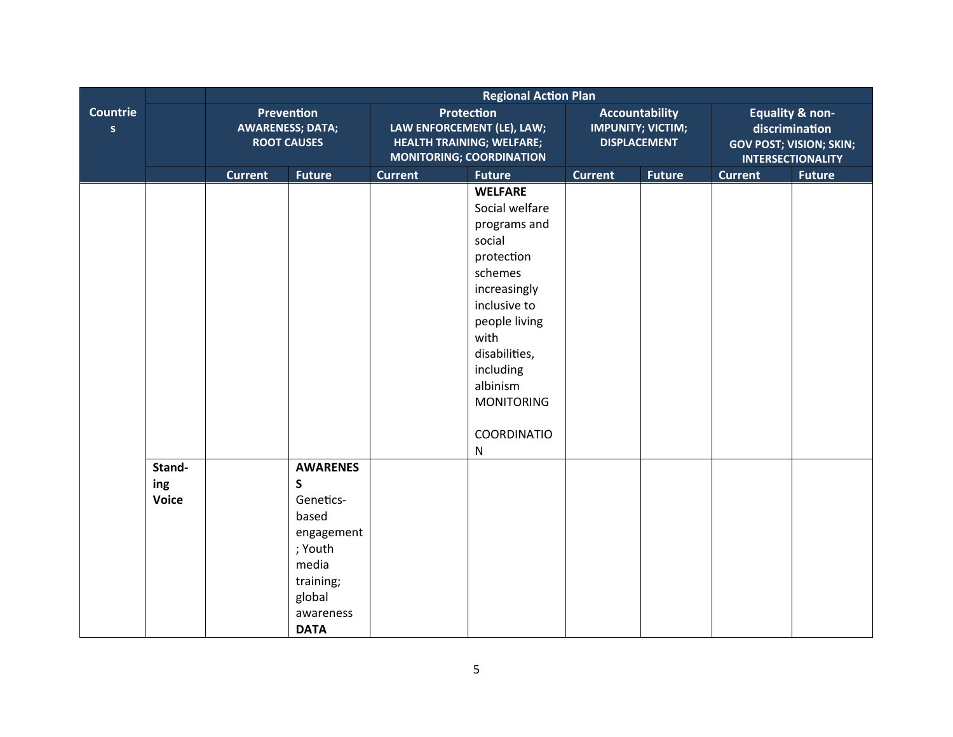|                                |                               |                                                             |                                                                                                                                 | <b>Regional Action Plan</b>                                                                                            |                                                                                                                                                                                                                                         |                                                                          |               |                                                                                                            |               |  |
|--------------------------------|-------------------------------|-------------------------------------------------------------|---------------------------------------------------------------------------------------------------------------------------------|------------------------------------------------------------------------------------------------------------------------|-----------------------------------------------------------------------------------------------------------------------------------------------------------------------------------------------------------------------------------------|--------------------------------------------------------------------------|---------------|------------------------------------------------------------------------------------------------------------|---------------|--|
| <b>Countrie</b><br>$\mathsf S$ |                               | Prevention<br><b>AWARENESS; DATA;</b><br><b>ROOT CAUSES</b> |                                                                                                                                 | <b>Protection</b><br>LAW ENFORCEMENT (LE), LAW;<br><b>HEALTH TRAINING; WELFARE;</b><br><b>MONITORING; COORDINATION</b> |                                                                                                                                                                                                                                         | <b>Accountability</b><br><b>IMPUNITY; VICTIM;</b><br><b>DISPLACEMENT</b> |               | <b>Equality &amp; non-</b><br>discrimination<br><b>GOV POST; VISION; SKIN;</b><br><b>INTERSECTIONALITY</b> |               |  |
|                                |                               | <b>Current</b>                                              | <b>Future</b>                                                                                                                   | <b>Current</b>                                                                                                         | <b>Future</b>                                                                                                                                                                                                                           | <b>Current</b>                                                           | <b>Future</b> | <b>Current</b>                                                                                             | <b>Future</b> |  |
|                                |                               |                                                             |                                                                                                                                 |                                                                                                                        | <b>WELFARE</b><br>Social welfare<br>programs and<br>social<br>protection<br>schemes<br>increasingly<br>inclusive to<br>people living<br>with<br>disabilities,<br>including<br>albinism<br><b>MONITORING</b><br>COORDINATIO<br>${\sf N}$ |                                                                          |               |                                                                                                            |               |  |
|                                | Stand-<br>ing<br><b>Voice</b> |                                                             | <b>AWARENES</b><br>S<br>Genetics-<br>based<br>engagement<br>; Youth<br>media<br>training;<br>global<br>awareness<br><b>DATA</b> |                                                                                                                        |                                                                                                                                                                                                                                         |                                                                          |               |                                                                                                            |               |  |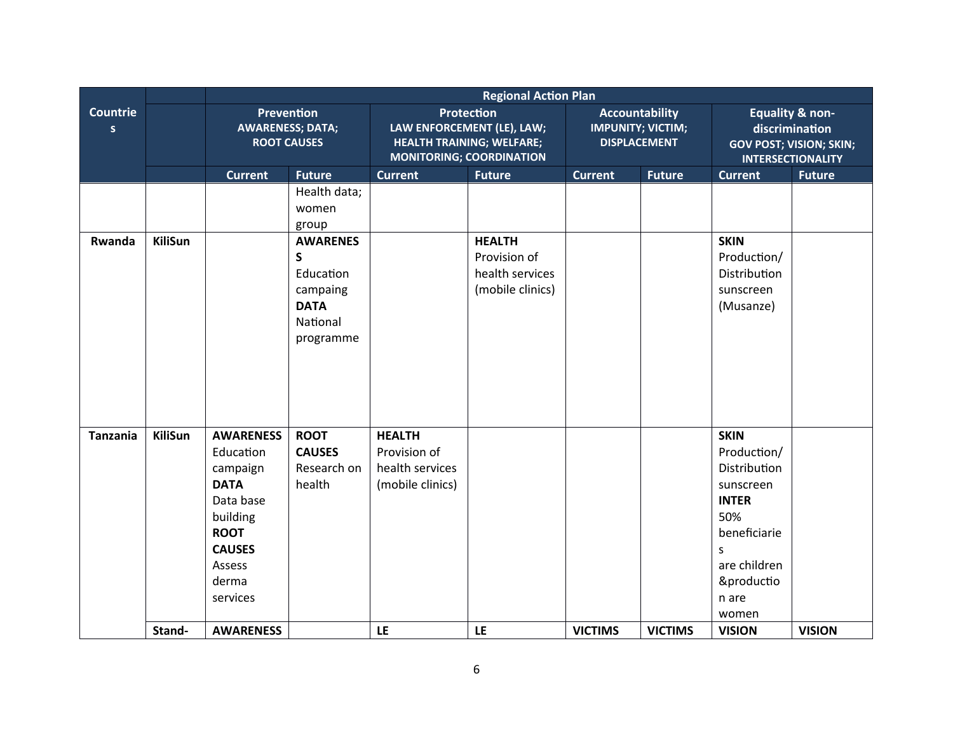|                                 | <b>Regional Action Plan</b> |                                                                                                                                                                      |                                                                                       |                                                                                                                        |                                                                      |                                                                          |                |                                                                                                                                                                                 |               |
|---------------------------------|-----------------------------|----------------------------------------------------------------------------------------------------------------------------------------------------------------------|---------------------------------------------------------------------------------------|------------------------------------------------------------------------------------------------------------------------|----------------------------------------------------------------------|--------------------------------------------------------------------------|----------------|---------------------------------------------------------------------------------------------------------------------------------------------------------------------------------|---------------|
| <b>Countrie</b><br>$\mathsf{s}$ |                             | Prevention<br><b>AWARENESS; DATA;</b><br><b>ROOT CAUSES</b>                                                                                                          |                                                                                       | <b>Protection</b><br>LAW ENFORCEMENT (LE), LAW;<br><b>HEALTH TRAINING; WELFARE;</b><br><b>MONITORING; COORDINATION</b> |                                                                      | <b>Accountability</b><br><b>IMPUNITY; VICTIM;</b><br><b>DISPLACEMENT</b> |                | <b>Equality &amp; non-</b><br>discrimination<br><b>GOV POST; VISION; SKIN;</b><br><b>INTERSECTIONALITY</b>                                                                      |               |
|                                 |                             | <b>Current</b>                                                                                                                                                       | <b>Future</b>                                                                         | <b>Current</b>                                                                                                         | <b>Future</b>                                                        | <b>Current</b>                                                           | <b>Future</b>  | <b>Current</b>                                                                                                                                                                  | <b>Future</b> |
|                                 |                             |                                                                                                                                                                      | Health data;<br>women<br>group                                                        |                                                                                                                        |                                                                      |                                                                          |                |                                                                                                                                                                                 |               |
| Rwanda                          | <b>KiliSun</b>              |                                                                                                                                                                      | <b>AWARENES</b><br>S<br>Education<br>campaing<br><b>DATA</b><br>National<br>programme |                                                                                                                        | <b>HEALTH</b><br>Provision of<br>health services<br>(mobile clinics) |                                                                          |                | <b>SKIN</b><br>Production/<br>Distribution<br>sunscreen<br>(Musanze)                                                                                                            |               |
| <b>Tanzania</b>                 | <b>KiliSun</b><br>Stand-    | <b>AWARENESS</b><br>Education<br>campaign<br><b>DATA</b><br>Data base<br>building<br><b>ROOT</b><br><b>CAUSES</b><br>Assess<br>derma<br>services<br><b>AWARENESS</b> | <b>ROOT</b><br><b>CAUSES</b><br>Research on<br>health                                 | <b>HEALTH</b><br>Provision of<br>health services<br>(mobile clinics)<br>LE                                             | LE                                                                   | <b>VICTIMS</b>                                                           | <b>VICTIMS</b> | <b>SKIN</b><br>Production/<br>Distribution<br>sunscreen<br><b>INTER</b><br>50%<br>beneficiarie<br>$\mathsf{S}$<br>are children<br>&productio<br>n are<br>women<br><b>VISION</b> | <b>VISION</b> |
|                                 |                             |                                                                                                                                                                      |                                                                                       |                                                                                                                        |                                                                      |                                                                          |                |                                                                                                                                                                                 |               |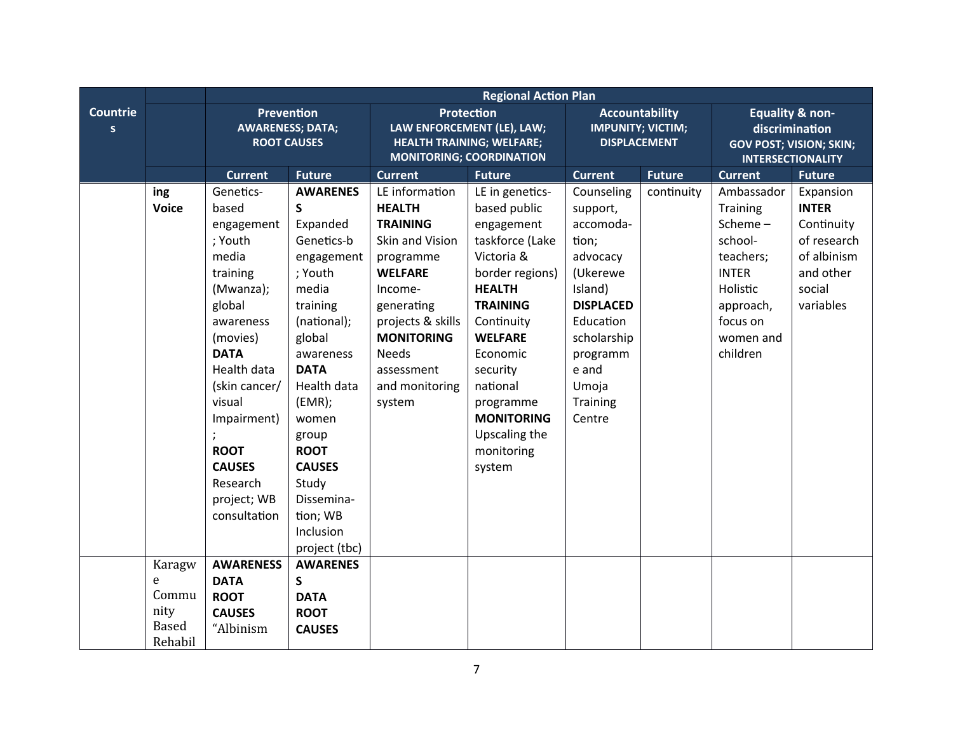|                      |                                                         | <b>Regional Action Plan</b>                                                                                                                                                                                                                                         |                                                                                                                                                                                                                                                                                               |                                                                                                                                                                                                                                   |                                                                                                                                                                                                                                                                                      |                                                                                                                                                                                     |                                                                          |                                                                                                                                         |                                                                                                           |
|----------------------|---------------------------------------------------------|---------------------------------------------------------------------------------------------------------------------------------------------------------------------------------------------------------------------------------------------------------------------|-----------------------------------------------------------------------------------------------------------------------------------------------------------------------------------------------------------------------------------------------------------------------------------------------|-----------------------------------------------------------------------------------------------------------------------------------------------------------------------------------------------------------------------------------|--------------------------------------------------------------------------------------------------------------------------------------------------------------------------------------------------------------------------------------------------------------------------------------|-------------------------------------------------------------------------------------------------------------------------------------------------------------------------------------|--------------------------------------------------------------------------|-----------------------------------------------------------------------------------------------------------------------------------------|-----------------------------------------------------------------------------------------------------------|
| <b>Countrie</b><br>S |                                                         | Prevention<br><b>AWARENESS; DATA;</b><br><b>ROOT CAUSES</b>                                                                                                                                                                                                         |                                                                                                                                                                                                                                                                                               |                                                                                                                                                                                                                                   | <b>Protection</b><br>LAW ENFORCEMENT (LE), LAW;<br><b>HEALTH TRAINING; WELFARE;</b><br><b>MONITORING; COORDINATION</b>                                                                                                                                                               |                                                                                                                                                                                     | <b>Accountability</b><br><b>IMPUNITY; VICTIM;</b><br><b>DISPLACEMENT</b> | <b>Equality &amp; non-</b><br>discrimination<br><b>GOV POST; VISION; SKIN;</b><br><b>INTERSECTIONALITY</b>                              |                                                                                                           |
|                      |                                                         | <b>Current</b>                                                                                                                                                                                                                                                      | <b>Future</b>                                                                                                                                                                                                                                                                                 | <b>Current</b>                                                                                                                                                                                                                    | <b>Future</b>                                                                                                                                                                                                                                                                        | <b>Current</b>                                                                                                                                                                      | <b>Future</b>                                                            | <b>Current</b>                                                                                                                          | <b>Future</b>                                                                                             |
|                      | ing<br><b>Voice</b>                                     | Genetics-<br>based<br>engagement<br>; Youth<br>media<br>training<br>(Mwanza);<br>global<br>awareness<br>(movies)<br><b>DATA</b><br>Health data<br>(skin cancer/<br>visual<br>Impairment)<br><b>ROOT</b><br><b>CAUSES</b><br>Research<br>project; WB<br>consultation | <b>AWARENES</b><br>S<br>Expanded<br>Genetics-b<br>engagement<br>; Youth<br>media<br>training<br>(national);<br>global<br>awareness<br><b>DATA</b><br>Health data<br>(EMR);<br>women<br>group<br><b>ROOT</b><br><b>CAUSES</b><br>Study<br>Dissemina-<br>tion; WB<br>Inclusion<br>project (tbc) | LE information<br><b>HEALTH</b><br><b>TRAINING</b><br>Skin and Vision<br>programme<br><b>WELFARE</b><br>Income-<br>generating<br>projects & skills<br><b>MONITORING</b><br><b>Needs</b><br>assessment<br>and monitoring<br>system | LE in genetics-<br>based public<br>engagement<br>taskforce (Lake<br>Victoria &<br>border regions)<br><b>HEALTH</b><br><b>TRAINING</b><br>Continuity<br><b>WELFARE</b><br>Economic<br>security<br>national<br>programme<br><b>MONITORING</b><br>Upscaling the<br>monitoring<br>system | Counseling<br>support,<br>accomoda-<br>tion;<br>advocacy<br>(Ukerewe<br>Island)<br><b>DISPLACED</b><br>Education<br>scholarship<br>programm<br>e and<br>Umoja<br>Training<br>Centre | continuity                                                               | Ambassador<br>Training<br>Scheme-<br>school-<br>teachers;<br><b>INTER</b><br>Holistic<br>approach,<br>focus on<br>women and<br>children | Expansion<br><b>INTER</b><br>Continuity<br>of research<br>of albinism<br>and other<br>social<br>variables |
|                      | Karagw<br>e<br>Commu<br>nity<br><b>Based</b><br>Rehabil | <b>AWARENESS</b><br><b>DATA</b><br><b>ROOT</b><br><b>CAUSES</b><br>"Albinism                                                                                                                                                                                        | <b>AWARENES</b><br>S<br><b>DATA</b><br><b>ROOT</b><br><b>CAUSES</b>                                                                                                                                                                                                                           |                                                                                                                                                                                                                                   |                                                                                                                                                                                                                                                                                      |                                                                                                                                                                                     |                                                                          |                                                                                                                                         |                                                                                                           |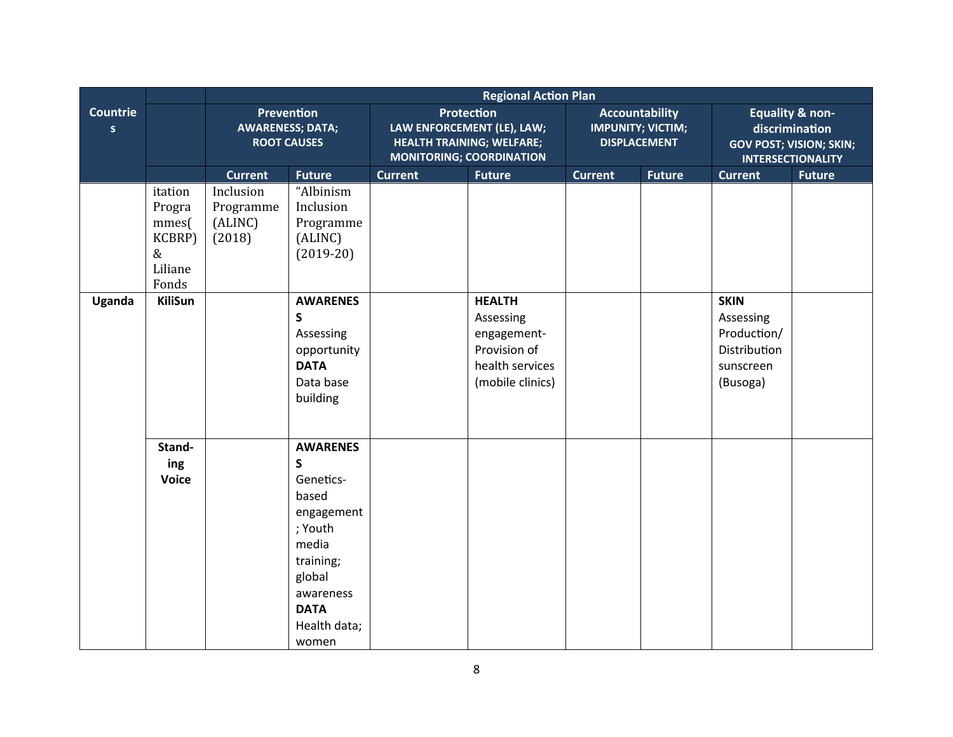|                                 |                                                               | <b>Regional Action Plan</b>                 |                                                                                                                                                                    |                                                                                                                        |                                                                                                  |                                                                          |               |                                                                                                            |               |  |
|---------------------------------|---------------------------------------------------------------|---------------------------------------------|--------------------------------------------------------------------------------------------------------------------------------------------------------------------|------------------------------------------------------------------------------------------------------------------------|--------------------------------------------------------------------------------------------------|--------------------------------------------------------------------------|---------------|------------------------------------------------------------------------------------------------------------|---------------|--|
| <b>Countrie</b><br>$\mathsf{s}$ |                                                               |                                             | Prevention<br><b>AWARENESS; DATA;</b><br><b>ROOT CAUSES</b>                                                                                                        | <b>Protection</b><br>LAW ENFORCEMENT (LE), LAW;<br><b>HEALTH TRAINING; WELFARE;</b><br><b>MONITORING; COORDINATION</b> |                                                                                                  | <b>Accountability</b><br><b>IMPUNITY; VICTIM;</b><br><b>DISPLACEMENT</b> |               | <b>Equality &amp; non-</b><br>discrimination<br><b>GOV POST; VISION; SKIN;</b><br><b>INTERSECTIONALITY</b> |               |  |
|                                 |                                                               | <b>Current</b>                              | <b>Future</b>                                                                                                                                                      | <b>Current</b>                                                                                                         | <b>Future</b>                                                                                    | <b>Current</b>                                                           | <b>Future</b> | <b>Current</b>                                                                                             | <b>Future</b> |  |
|                                 | itation<br>Progra<br>mmes(<br>KCBRP)<br>&<br>Liliane<br>Fonds | Inclusion<br>Programme<br>(ALINC)<br>(2018) | "Albinism<br>Inclusion<br>Programme<br>(ALINC)<br>$(2019-20)$                                                                                                      |                                                                                                                        |                                                                                                  |                                                                          |               |                                                                                                            |               |  |
| Uganda                          | <b>KiliSun</b>                                                |                                             | <b>AWARENES</b><br>$\mathsf{s}$<br>Assessing<br>opportunity<br><b>DATA</b><br>Data base<br>building                                                                |                                                                                                                        | <b>HEALTH</b><br>Assessing<br>engagement-<br>Provision of<br>health services<br>(mobile clinics) |                                                                          |               | <b>SKIN</b><br>Assessing<br>Production/<br>Distribution<br>sunscreen<br>(Busoga)                           |               |  |
|                                 | Stand-<br>ing<br><b>Voice</b>                                 |                                             | <b>AWARENES</b><br>$\mathsf S$<br>Genetics-<br>based<br>engagement<br>; Youth<br>media<br>training;<br>global<br>awareness<br><b>DATA</b><br>Health data;<br>women |                                                                                                                        |                                                                                                  |                                                                          |               |                                                                                                            |               |  |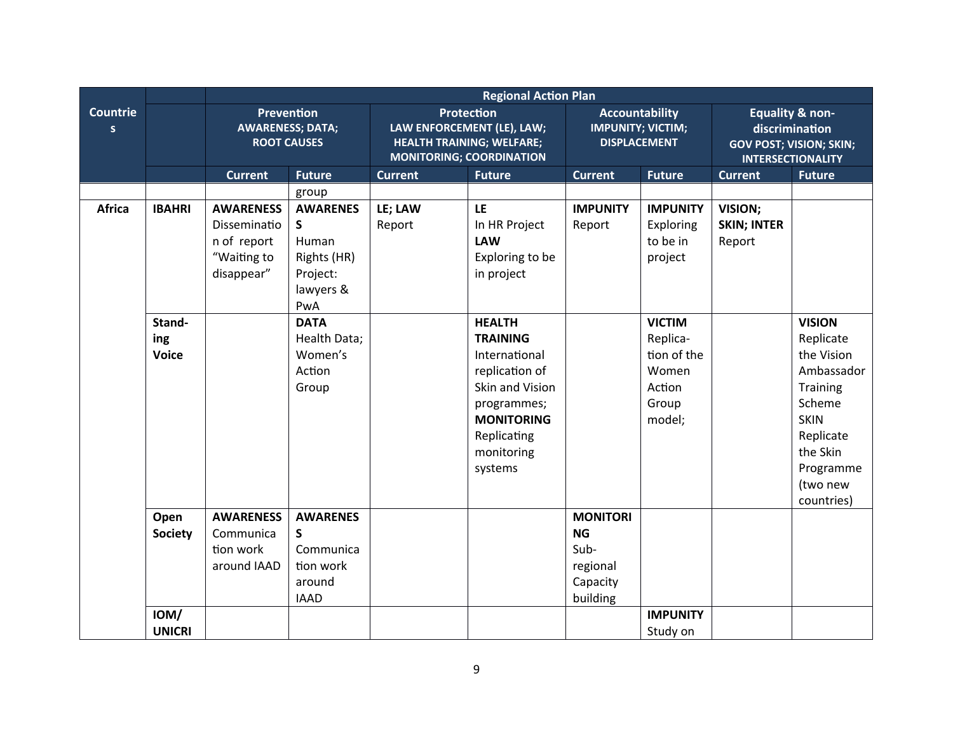|                                 |                               | <b>Regional Action Plan</b>                                                  |                                                                              |                                                                                                                        |                                                                                                                                                                    |                                                                          |                                                                                |                                                                                                            |                                                                                                                                                             |  |
|---------------------------------|-------------------------------|------------------------------------------------------------------------------|------------------------------------------------------------------------------|------------------------------------------------------------------------------------------------------------------------|--------------------------------------------------------------------------------------------------------------------------------------------------------------------|--------------------------------------------------------------------------|--------------------------------------------------------------------------------|------------------------------------------------------------------------------------------------------------|-------------------------------------------------------------------------------------------------------------------------------------------------------------|--|
| <b>Countrie</b><br>$\mathsf{s}$ |                               | Prevention<br><b>AWARENESS; DATA;</b><br><b>ROOT CAUSES</b>                  |                                                                              | <b>Protection</b><br>LAW ENFORCEMENT (LE), LAW;<br><b>HEALTH TRAINING; WELFARE;</b><br><b>MONITORING; COORDINATION</b> |                                                                                                                                                                    | <b>Accountability</b><br><b>IMPUNITY; VICTIM;</b><br><b>DISPLACEMENT</b> |                                                                                | <b>Equality &amp; non-</b><br>discrimination<br><b>GOV POST; VISION; SKIN;</b><br><b>INTERSECTIONALITY</b> |                                                                                                                                                             |  |
|                                 |                               | <b>Current</b>                                                               | <b>Future</b>                                                                | <b>Current</b>                                                                                                         | <b>Future</b>                                                                                                                                                      | <b>Current</b>                                                           | <b>Future</b>                                                                  | <b>Current</b>                                                                                             | <b>Future</b>                                                                                                                                               |  |
|                                 |                               |                                                                              | group                                                                        |                                                                                                                        |                                                                                                                                                                    |                                                                          |                                                                                |                                                                                                            |                                                                                                                                                             |  |
| <b>Africa</b>                   | <b>IBAHRI</b>                 | <b>AWARENESS</b><br>Disseminatio<br>n of report<br>"Waiting to<br>disappear" | <b>AWARENES</b><br>S<br>Human<br>Rights (HR)<br>Project:<br>lawyers &<br>PwA | LE; LAW<br>Report                                                                                                      | LE<br>In HR Project<br><b>LAW</b><br>Exploring to be<br>in project                                                                                                 | <b>IMPUNITY</b><br>Report                                                | <b>IMPUNITY</b><br>Exploring<br>to be in<br>project                            | VISION;<br><b>SKIN; INTER</b><br>Report                                                                    |                                                                                                                                                             |  |
|                                 | Stand-<br>ing<br><b>Voice</b> |                                                                              | <b>DATA</b><br>Health Data;<br>Women's<br>Action<br>Group                    |                                                                                                                        | <b>HEALTH</b><br><b>TRAINING</b><br>International<br>replication of<br>Skin and Vision<br>programmes;<br><b>MONITORING</b><br>Replicating<br>monitoring<br>systems |                                                                          | <b>VICTIM</b><br>Replica-<br>tion of the<br>Women<br>Action<br>Group<br>model; |                                                                                                            | <b>VISION</b><br>Replicate<br>the Vision<br>Ambassador<br>Training<br>Scheme<br><b>SKIN</b><br>Replicate<br>the Skin<br>Programme<br>(two new<br>countries) |  |
|                                 | Open<br>Society               | <b>AWARENESS</b><br>Communica<br>tion work<br>around IAAD                    | <b>AWARENES</b><br>S<br>Communica<br>tion work<br>around<br><b>IAAD</b>      |                                                                                                                        |                                                                                                                                                                    | <b>MONITORI</b><br><b>NG</b><br>Sub-<br>regional<br>Capacity<br>building |                                                                                |                                                                                                            |                                                                                                                                                             |  |
|                                 | IOM/<br><b>UNICRI</b>         |                                                                              |                                                                              |                                                                                                                        |                                                                                                                                                                    |                                                                          | <b>IMPUNITY</b><br>Study on                                                    |                                                                                                            |                                                                                                                                                             |  |